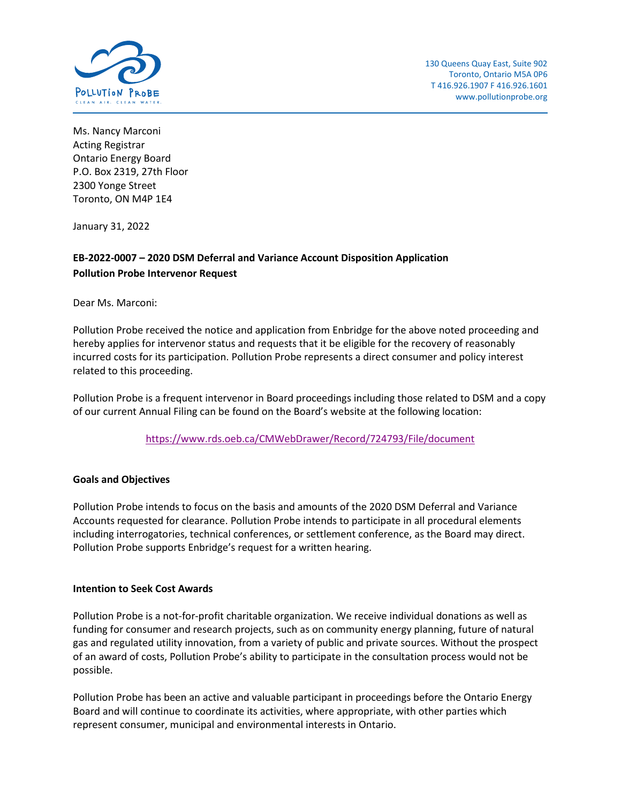

Ms. Nancy Marconi Acting Registrar Ontario Energy Board P.O. Box 2319, 27th Floor 2300 Yonge Street Toronto, ON M4P 1E4

January 31, 2022

## **EB-2022-0007 – 2020 DSM Deferral and Variance Account Disposition Application Pollution Probe Intervenor Request**

Dear Ms. Marconi:

Pollution Probe received the notice and application from Enbridge for the above noted proceeding and hereby applies for intervenor status and requests that it be eligible for the recovery of reasonably incurred costs for its participation. Pollution Probe represents a direct consumer and policy interest related to this proceeding.

Pollution Probe is a frequent intervenor in Board proceedings including those related to DSM and a copy of our current Annual Filing can be found on the Board's website at the following location:

<https://www.rds.oeb.ca/CMWebDrawer/Record/724793/File/document>

## **Goals and Objectives**

Pollution Probe intends to focus on the basis and amounts of the 2020 DSM Deferral and Variance Accounts requested for clearance. Pollution Probe intends to participate in all procedural elements including interrogatories, technical conferences, or settlement conference, as the Board may direct. Pollution Probe supports Enbridge's request for a written hearing.

## **Intention to Seek Cost Awards**

Pollution Probe is a not-for-profit charitable organization. We receive individual donations as well as funding for consumer and research projects, such as on community energy planning, future of natural gas and regulated utility innovation, from a variety of public and private sources. Without the prospect of an award of costs, Pollution Probe's ability to participate in the consultation process would not be possible.

Pollution Probe has been an active and valuable participant in proceedings before the Ontario Energy Board and will continue to coordinate its activities, where appropriate, with other parties which represent consumer, municipal and environmental interests in Ontario.